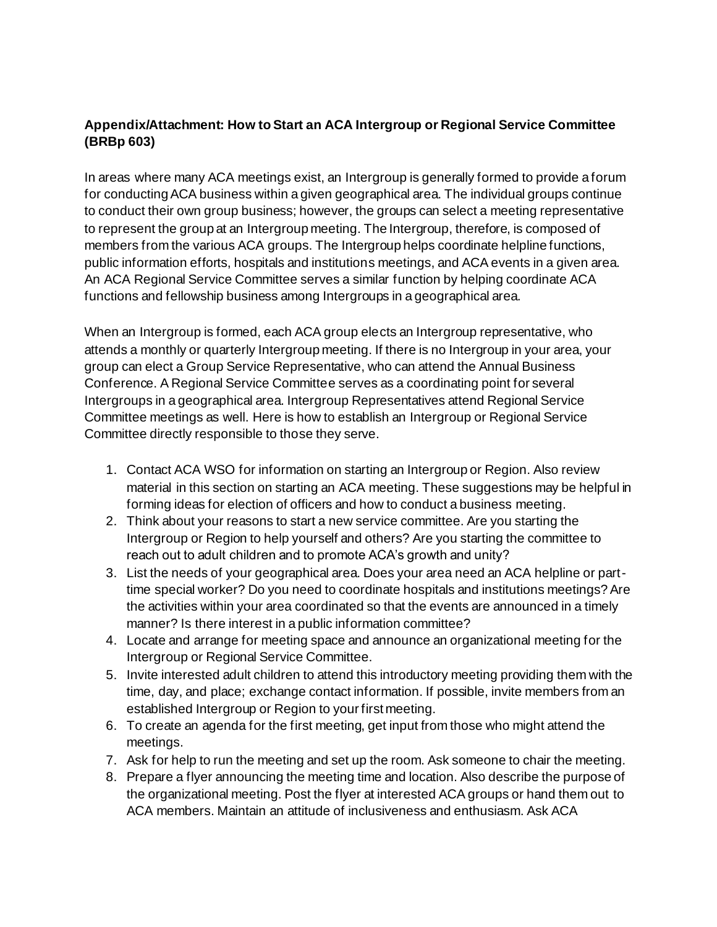## **Appendix/Attachment: How to Start an ACA Intergroup or Regional Service Committee (BRBp 603)**

In areas where many ACA meetings exist, an Intergroup is generally formed to provide a forum for conducting ACA business within a given geographical area. The individual groups continue to conduct their own group business; however, the groups can select a meeting representative to represent the group at an Intergroup meeting. The Intergroup, therefore, is composed of members from the various ACA groups. The Intergroup helps coordinate helpline functions, public information efforts, hospitals and institutions meetings, and ACA events in a given area. An ACA Regional Service Committee serves a similar function by helping coordinate ACA functions and fellowship business among Intergroups in a geographical area.

When an Intergroup is formed, each ACA group elects an Intergroup representative, who attends a monthly or quarterly Intergroup meeting. If there is no Intergroup in your area, your group can elect a Group Service Representative, who can attend the Annual Business Conference. A Regional Service Committee serves as a coordinating point for several Intergroups in a geographical area. Intergroup Representatives attend Regional Service Committee meetings as well. Here is how to establish an Intergroup or Regional Service Committee directly responsible to those they serve.

- 1. Contact ACA WSO for information on starting an Intergroup or Region. Also review material in this section on starting an ACA meeting. These suggestions may be helpful in forming ideas for election of officers and how to conduct a business meeting.
- 2. Think about your reasons to start a new service committee. Are you starting the Intergroup or Region to help yourself and others? Are you starting the committee to reach out to adult children and to promote ACA's growth and unity?
- 3. List the needs of your geographical area. Does your area need an ACA helpline or parttime special worker? Do you need to coordinate hospitals and institutions meetings? Are the activities within your area coordinated so that the events are announced in a timely manner? Is there interest in a public information committee?
- 4. Locate and arrange for meeting space and announce an organizational meeting for the Intergroup or Regional Service Committee.
- 5. Invite interested adult children to attend this introductory meeting providing them with the time, day, and place; exchange contact information. If possible, invite members from an established Intergroup or Region to your first meeting.
- 6. To create an agenda for the first meeting, get input from those who might attend the meetings.
- 7. Ask for help to run the meeting and set up the room. Ask someone to chair the meeting.
- 8. Prepare a flyer announcing the meeting time and location. Also describe the purpose of the organizational meeting. Post the flyer at interested ACA groups or hand them out to ACA members. Maintain an attitude of inclusiveness and enthusiasm. Ask ACA